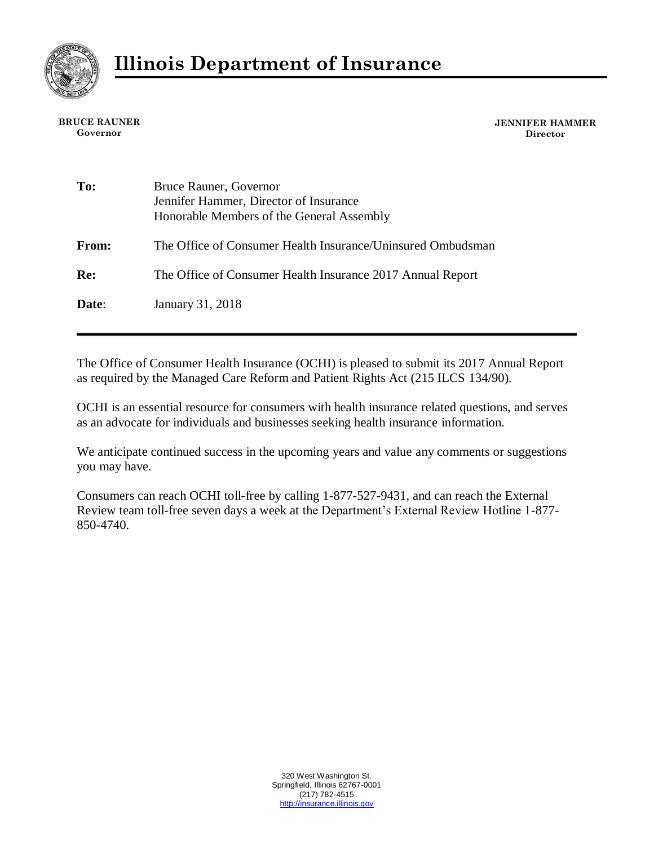

**BRUCE RAUNER Governor**

**JENNIFER HAMMER Director**

| To:          | Bruce Rauner, Governor<br>Jennifer Hammer, Director of Insurance<br>Honorable Members of the General Assembly |
|--------------|---------------------------------------------------------------------------------------------------------------|
| <b>From:</b> | The Office of Consumer Health Insurance/Uninsured Ombudsman                                                   |
| Re:          | The Office of Consumer Health Insurance 2017 Annual Report                                                    |
| Date:        | January 31, 2018                                                                                              |

The Office of Consumer Health Insurance (OCHI) is pleased to submit its 2017 Annual Report as required by the Managed Care Reform and Patient Rights Act (215 ILCS 134/90).

OCHI is an essential resource for consumers with health insurance related questions, and serves as an advocate for individuals and businesses seeking health insurance information.

We anticipate continued success in the upcoming years and value any comments or suggestions you may have.

Consumers can reach OCHI toll-free by calling 1-877-527-9431, and can reach the External Review team toll-free seven days a week at the Department's External Review Hotline 1-877- 850-4740.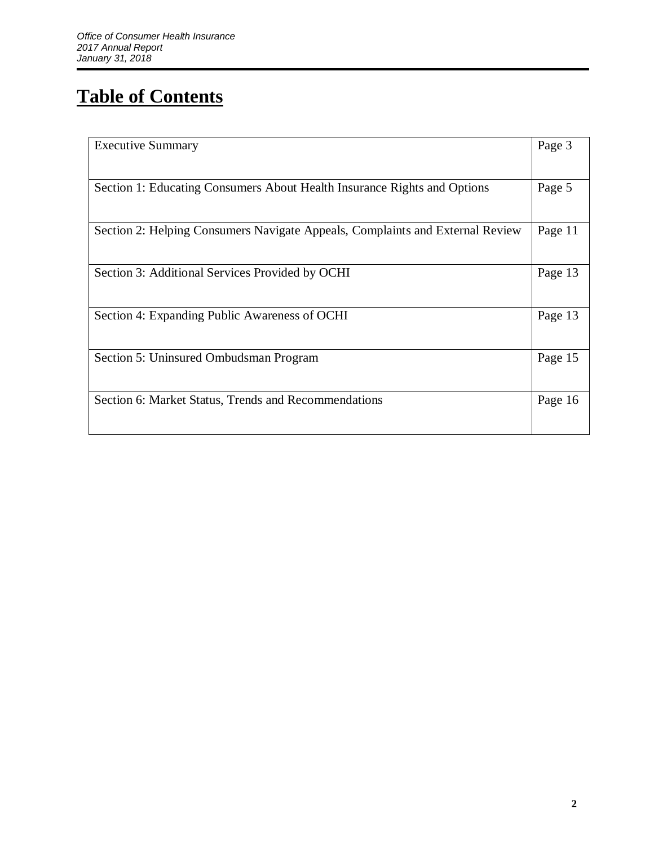# **Table of Contents**

| <b>Executive Summary</b>                                                      | Page 3  |  |
|-------------------------------------------------------------------------------|---------|--|
|                                                                               |         |  |
| Section 1: Educating Consumers About Health Insurance Rights and Options      |         |  |
|                                                                               |         |  |
| Section 2: Helping Consumers Navigate Appeals, Complaints and External Review | Page 11 |  |
| Section 3: Additional Services Provided by OCHI                               | Page 13 |  |
| Section 4: Expanding Public Awareness of OCHI                                 | Page 13 |  |
| Section 5: Uninsured Ombudsman Program                                        | Page 15 |  |
| Section 6: Market Status, Trends and Recommendations                          | Page 16 |  |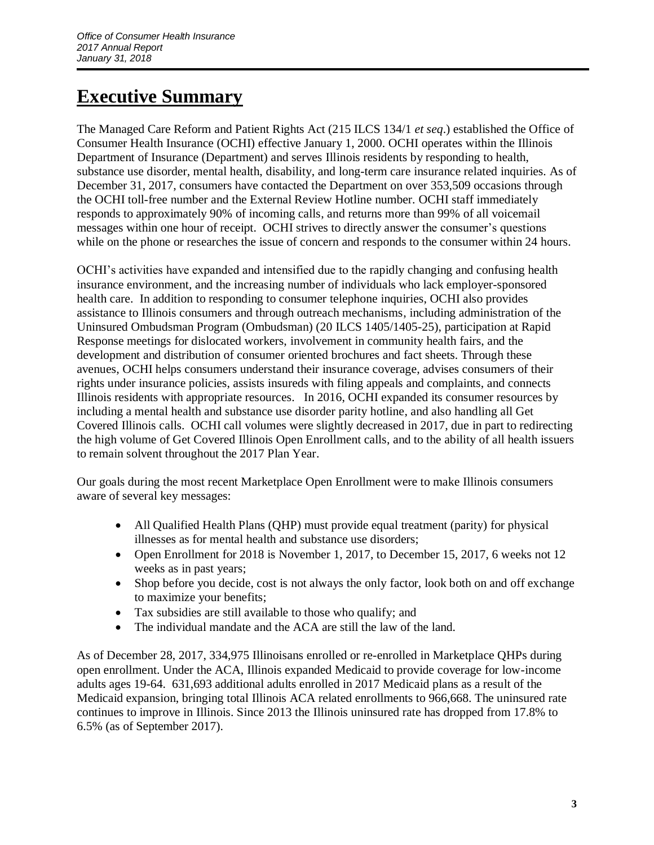## **Executive Summary**

The Managed Care Reform and Patient Rights Act (215 ILCS 134/1 *et seq*.) established the Office of Consumer Health Insurance (OCHI) effective January 1, 2000. OCHI operates within the Illinois Department of Insurance (Department) and serves Illinois residents by responding to health, substance use disorder, mental health, disability, and long-term care insurance related inquiries. As of December 31, 2017, consumers have contacted the Department on over 353,509 occasions through the OCHI toll-free number and the External Review Hotline number. OCHI staff immediately responds to approximately 90% of incoming calls, and returns more than 99% of all voicemail messages within one hour of receipt. OCHI strives to directly answer the consumer's questions while on the phone or researches the issue of concern and responds to the consumer within 24 hours.

OCHI's activities have expanded and intensified due to the rapidly changing and confusing health insurance environment, and the increasing number of individuals who lack employer-sponsored health care. In addition to responding to consumer telephone inquiries, OCHI also provides assistance to Illinois consumers and through outreach mechanisms, including administration of the Uninsured Ombudsman Program (Ombudsman) (20 ILCS 1405/1405-25), participation at Rapid Response meetings for dislocated workers, involvement in community health fairs, and the development and distribution of consumer oriented brochures and fact sheets. Through these avenues, OCHI helps consumers understand their insurance coverage, advises consumers of their rights under insurance policies, assists insureds with filing appeals and complaints, and connects Illinois residents with appropriate resources. In 2016, OCHI expanded its consumer resources by including a mental health and substance use disorder parity hotline, and also handling all Get Covered Illinois calls. OCHI call volumes were slightly decreased in 2017, due in part to redirecting the high volume of Get Covered Illinois Open Enrollment calls, and to the ability of all health issuers to remain solvent throughout the 2017 Plan Year.

Our goals during the most recent Marketplace Open Enrollment were to make Illinois consumers aware of several key messages:

- All Qualified Health Plans (OHP) must provide equal treatment (parity) for physical illnesses as for mental health and substance use disorders;
- Open Enrollment for 2018 is November 1, 2017, to December 15, 2017, 6 weeks not 12 weeks as in past years;
- Shop before you decide, cost is not always the only factor, look both on and off exchange to maximize your benefits;
- Tax subsidies are still available to those who qualify; and
- The individual mandate and the ACA are still the law of the land.

As of December 28, 2017, 334,975 Illinoisans enrolled or re-enrolled in Marketplace QHPs during open enrollment. Under the ACA, Illinois expanded Medicaid to provide coverage for low-income adults ages 19-64. 631,693 additional adults enrolled in 2017 Medicaid plans as a result of the Medicaid expansion, bringing total Illinois ACA related enrollments to 966,668. The uninsured rate continues to improve in Illinois. Since 2013 the Illinois uninsured rate has dropped from 17.8% to 6.5% (as of September 2017).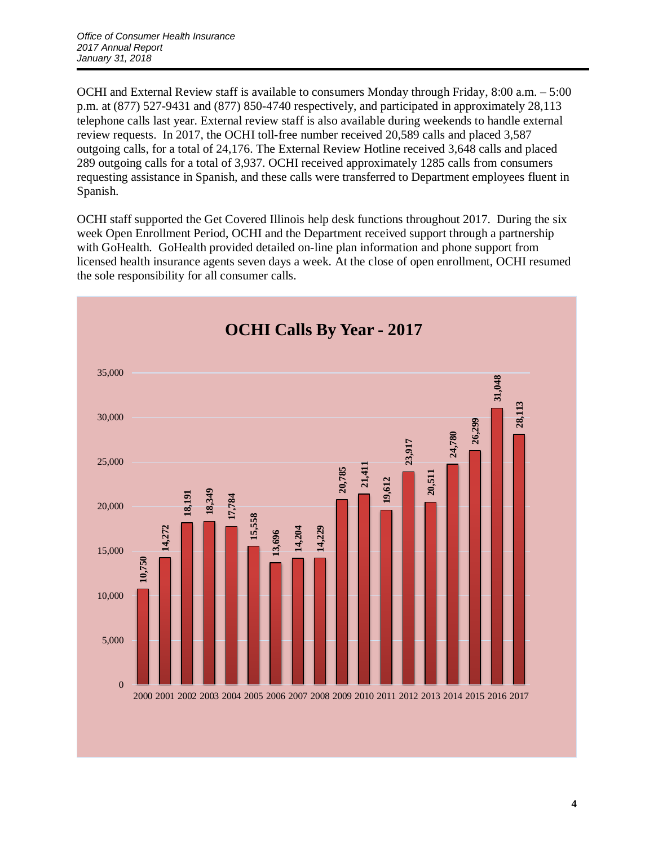OCHI and External Review staff is available to consumers Monday through Friday, 8:00 a.m. – 5:00 p.m. at (877) 527-9431 and (877) 850-4740 respectively, and participated in approximately 28,113 telephone calls last year. External review staff is also available during weekends to handle external review requests. In 2017, the OCHI toll-free number received 20,589 calls and placed 3,587 outgoing calls, for a total of 24,176. The External Review Hotline received 3,648 calls and placed 289 outgoing calls for a total of 3,937. OCHI received approximately 1285 calls from consumers requesting assistance in Spanish, and these calls were transferred to Department employees fluent in Spanish.

OCHI staff supported the Get Covered Illinois help desk functions throughout 2017. During the six week Open Enrollment Period, OCHI and the Department received support through a partnership with GoHealth. GoHealth provided detailed on-line plan information and phone support from licensed health insurance agents seven days a week. At the close of open enrollment, OCHI resumed the sole responsibility for all consumer calls.

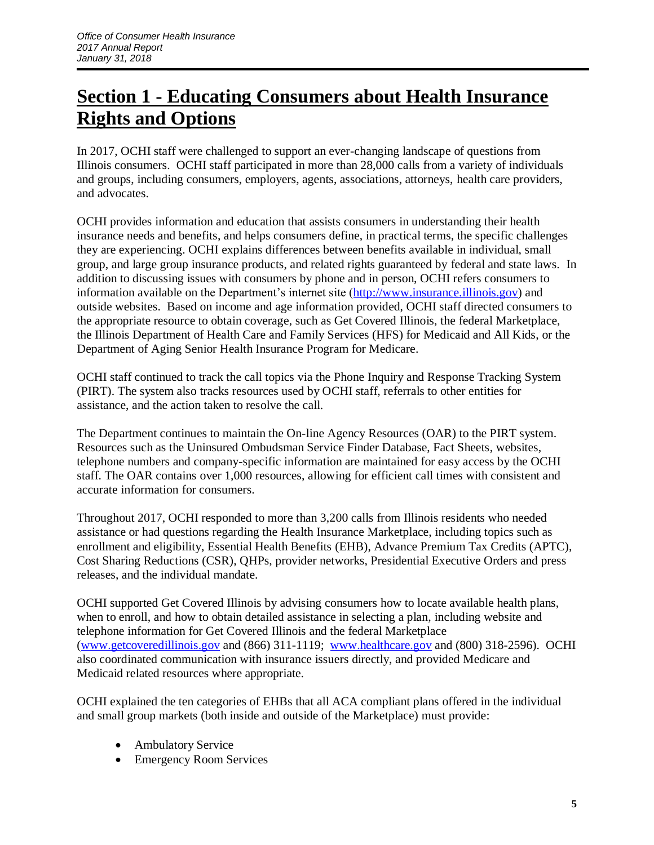## **Section 1 - Educating Consumers about Health Insurance Rights and Options**

In 2017, OCHI staff were challenged to support an ever-changing landscape of questions from Illinois consumers. OCHI staff participated in more than 28,000 calls from a variety of individuals and groups, including consumers, employers, agents, associations, attorneys, health care providers, and advocates.

OCHI provides information and education that assists consumers in understanding their health insurance needs and benefits, and helps consumers define, in practical terms, the specific challenges they are experiencing. OCHI explains differences between benefits available in individual, small group, and large group insurance products, and related rights guaranteed by federal and state laws. In addition to discussing issues with consumers by phone and in person, OCHI refers consumers to information available on the Department's internet site [\(http://www.insurance.illinois.gov\)](http://www.insurance.illinois.gov/) and outside websites. Based on income and age information provided, OCHI staff directed consumers to the appropriate resource to obtain coverage, such as Get Covered Illinois, the federal Marketplace, the Illinois Department of Health Care and Family Services (HFS) for Medicaid and All Kids, or the Department of Aging Senior Health Insurance Program for Medicare.

OCHI staff continued to track the call topics via the Phone Inquiry and Response Tracking System (PIRT). The system also tracks resources used by OCHI staff, referrals to other entities for assistance, and the action taken to resolve the call.

The Department continues to maintain the On-line Agency Resources (OAR) to the PIRT system. Resources such as the Uninsured Ombudsman Service Finder Database, Fact Sheets, websites, telephone numbers and company-specific information are maintained for easy access by the OCHI staff. The OAR contains over 1,000 resources, allowing for efficient call times with consistent and accurate information for consumers.

Throughout 2017, OCHI responded to more than 3,200 calls from Illinois residents who needed assistance or had questions regarding the Health Insurance Marketplace, including topics such as enrollment and eligibility, Essential Health Benefits (EHB), Advance Premium Tax Credits (APTC), Cost Sharing Reductions (CSR), QHPs, provider networks, Presidential Executive Orders and press releases, and the individual mandate.

OCHI supported Get Covered Illinois by advising consumers how to locate available health plans, when to enroll, and how to obtain detailed assistance in selecting a plan, including website and telephone information for Get Covered Illinois and the federal Marketplace [\(www.getcoveredillinois.gov](http://www.getcoveredillinois.gov/) and (866) 311-1119; [www.healthcare.gov](http://www.healthcare.gov/) and (800) 318-2596). OCHI also coordinated communication with insurance issuers directly, and provided Medicare and Medicaid related resources where appropriate.

OCHI explained the ten categories of EHBs that all ACA compliant plans offered in the individual and small group markets (both inside and outside of the Marketplace) must provide:

- Ambulatory Service
- Emergency Room Services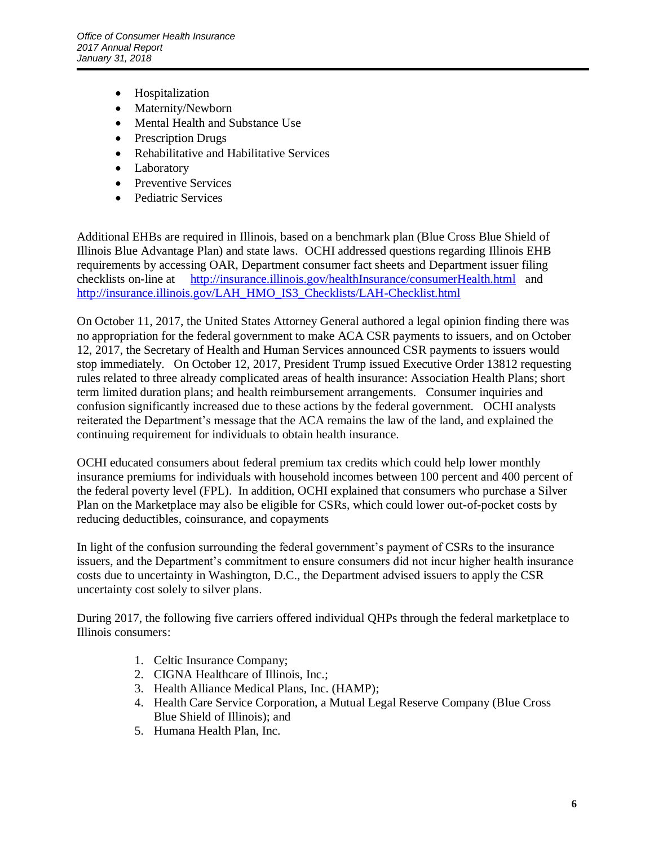- Hospitalization
- Maternity/Newborn
- Mental Health and Substance Use
- Prescription Drugs
- Rehabilitative and Habilitative Services
- Laboratory
- Preventive Services
- Pediatric Services

Additional EHBs are required in Illinois, based on a benchmark plan (Blue Cross Blue Shield of Illinois Blue Advantage Plan) and state laws. OCHI addressed questions regarding Illinois EHB requirements by accessing OAR, Department consumer fact sheets and Department issuer filing checklists on-line at <http://insurance.illinois.gov/healthInsurance/consumerHealth.html>and [http://insurance.illinois.gov/LAH\\_HMO\\_IS3\\_Checklists/LAH-Checklist.html](http://insurance.illinois.gov/LAH_HMO_IS3_Checklists/LAH-Checklist.html)

On October 11, 2017, the United States Attorney General authored a legal opinion finding there was no appropriation for the federal government to make ACA CSR payments to issuers, and on October 12, 2017, the Secretary of Health and Human Services announced CSR payments to issuers would stop immediately. On October 12, 2017, President Trump issued Executive Order 13812 requesting rules related to three already complicated areas of health insurance: Association Health Plans; short term limited duration plans; and health reimbursement arrangements. Consumer inquiries and confusion significantly increased due to these actions by the federal government. OCHI analysts reiterated the Department's message that the ACA remains the law of the land, and explained the continuing requirement for individuals to obtain health insurance.

OCHI educated consumers about federal premium tax credits which could help lower monthly insurance premiums for individuals with household incomes between 100 percent and 400 percent of the federal poverty level (FPL). In addition, OCHI explained that consumers who purchase a Silver Plan on the Marketplace may also be eligible for CSRs, which could lower out-of-pocket costs by reducing deductibles, coinsurance, and copayments

In light of the confusion surrounding the federal government's payment of CSRs to the insurance issuers, and the Department's commitment to ensure consumers did not incur higher health insurance costs due to uncertainty in Washington, D.C., the Department advised issuers to apply the CSR uncertainty cost solely to silver plans.

During 2017, the following five carriers offered individual QHPs through the federal marketplace to Illinois consumers:

- 1. Celtic Insurance Company;
- 2. CIGNA Healthcare of Illinois, Inc.;
- 3. Health Alliance Medical Plans, Inc. (HAMP);
- 4. Health Care Service Corporation, a Mutual Legal Reserve Company (Blue Cross Blue Shield of Illinois); and
- 5. Humana Health Plan, Inc.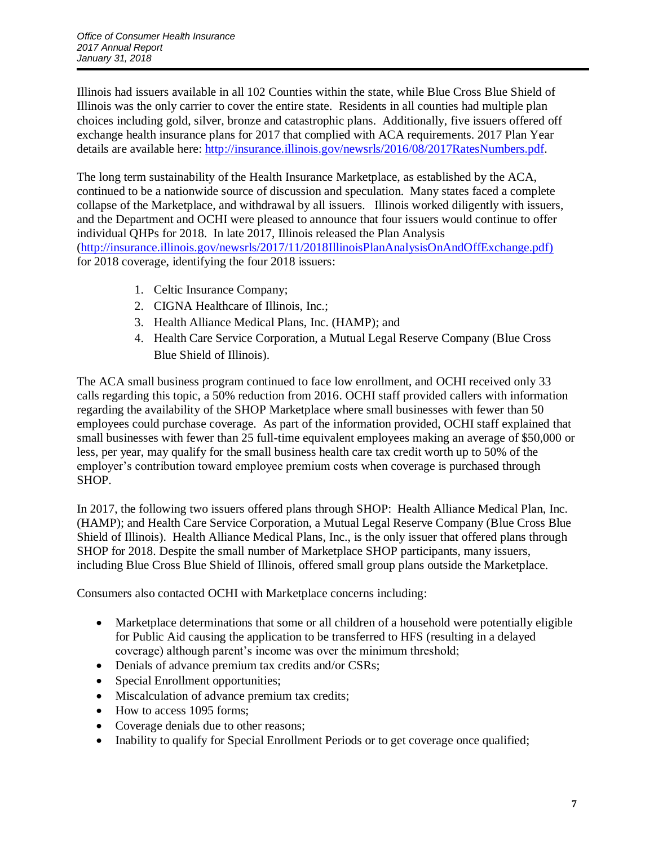Illinois had issuers available in all 102 Counties within the state, while Blue Cross Blue Shield of Illinois was the only carrier to cover the entire state. Residents in all counties had multiple plan choices including gold, silver, bronze and catastrophic plans. Additionally, five issuers offered off exchange health insurance plans for 2017 that complied with ACA requirements. 2017 Plan Year details are available here: [http://insurance.illinois.gov/newsrls/2016/08/2017RatesNumbers.pdf.](http://insurance.illinois.gov/newsrls/2016/08/2017RatesNumbers.pdf)

The long term sustainability of the Health Insurance Marketplace, as established by the ACA, continued to be a nationwide source of discussion and speculation. Many states faced a complete collapse of the Marketplace, and withdrawal by all issuers. Illinois worked diligently with issuers, and the Department and OCHI were pleased to announce that four issuers would continue to offer individual QHPs for 2018. In late 2017, Illinois released the Plan Analysis [\(http://insurance.illinois.gov/newsrls/2017/11/2018IllinoisPlanAnalysisOnAndOffExchange.pdf\)](http://insurance.illinois.gov/newsrls/2017/11/2018IllinoisPlanAnalysisOnAndOffExchange.pdf) for 2018 coverage, identifying the four 2018 issuers:

- 1. Celtic Insurance Company;
- 2. CIGNA Healthcare of Illinois, Inc.;
- 3. Health Alliance Medical Plans, Inc. (HAMP); and
- 4. Health Care Service Corporation, a Mutual Legal Reserve Company (Blue Cross Blue Shield of Illinois).

The ACA small business program continued to face low enrollment, and OCHI received only 33 calls regarding this topic, a 50% reduction from 2016. OCHI staff provided callers with information regarding the availability of the SHOP Marketplace where small businesses with fewer than 50 employees could purchase coverage. As part of the information provided, OCHI staff explained that small businesses with fewer than 25 full-time equivalent employees making an average of \$50,000 or less, per year, may qualify for the small business health care tax credit worth up to 50% of the employer's contribution toward employee premium costs when coverage is purchased through SHOP.

In 2017, the following two issuers offered plans through SHOP: Health Alliance Medical Plan, Inc. (HAMP); and Health Care Service Corporation, a Mutual Legal Reserve Company (Blue Cross Blue Shield of Illinois). Health Alliance Medical Plans, Inc., is the only issuer that offered plans through SHOP for 2018. Despite the small number of Marketplace SHOP participants, many issuers, including Blue Cross Blue Shield of Illinois, offered small group plans outside the Marketplace.

Consumers also contacted OCHI with Marketplace concerns including:

- Marketplace determinations that some or all children of a household were potentially eligible for Public Aid causing the application to be transferred to HFS (resulting in a delayed coverage) although parent's income was over the minimum threshold;
- Denials of advance premium tax credits and/or CSRs;
- Special Enrollment opportunities;
- Miscalculation of advance premium tax credits;
- How to access 1095 forms;
- Coverage denials due to other reasons;
- Inability to qualify for Special Enrollment Periods or to get coverage once qualified;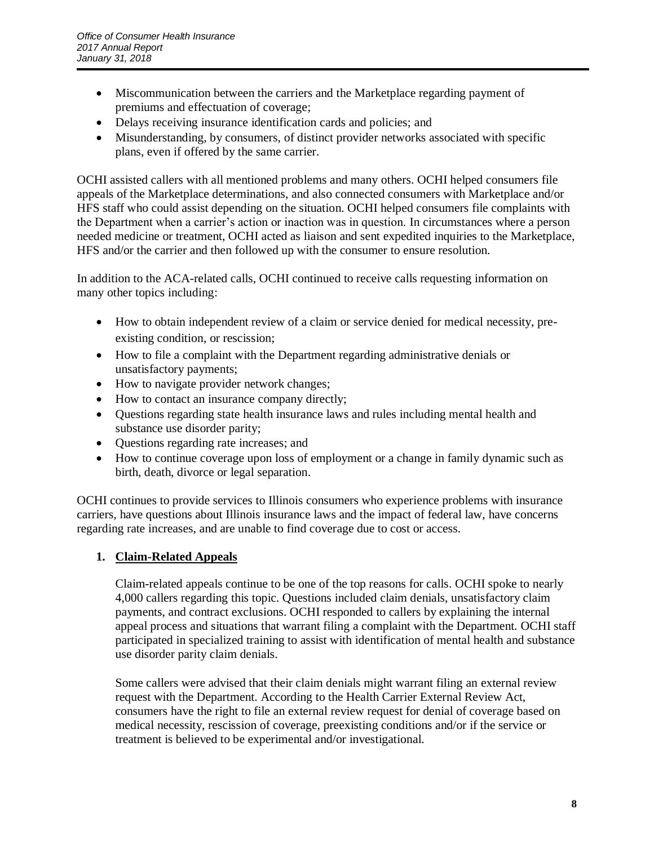- Miscommunication between the carriers and the Marketplace regarding payment of premiums and effectuation of coverage;
- Delays receiving insurance identification cards and policies; and
- Misunderstanding, by consumers, of distinct provider networks associated with specific plans, even if offered by the same carrier.

OCHI assisted callers with all mentioned problems and many others. OCHI helped consumers file appeals of the Marketplace determinations, and also connected consumers with Marketplace and/or HFS staff who could assist depending on the situation. OCHI helped consumers file complaints with the Department when a carrier's action or inaction was in question. In circumstances where a person needed medicine or treatment, OCHI acted as liaison and sent expedited inquiries to the Marketplace, HFS and/or the carrier and then followed up with the consumer to ensure resolution.

In addition to the ACA-related calls, OCHI continued to receive calls requesting information on many other topics including:

- How to obtain independent review of a claim or service denied for medical necessity, preexisting condition, or rescission;
- How to file a complaint with the Department regarding administrative denials or unsatisfactory payments;
- How to navigate provider network changes;
- How to contact an insurance company directly;
- Ouestions regarding state health insurance laws and rules including mental health and substance use disorder parity;
- Questions regarding rate increases; and
- How to continue coverage upon loss of employment or a change in family dynamic such as birth, death, divorce or legal separation.

OCHI continues to provide services to Illinois consumers who experience problems with insurance carriers, have questions about Illinois insurance laws and the impact of federal law, have concerns regarding rate increases, and are unable to find coverage due to cost or access.

#### **1. Claim-Related Appeals**

Claim-related appeals continue to be one of the top reasons for calls. OCHI spoke to nearly 4,000 callers regarding this topic. Questions included claim denials, unsatisfactory claim payments, and contract exclusions. OCHI responded to callers by explaining the internal appeal process and situations that warrant filing a complaint with the Department. OCHI staff participated in specialized training to assist with identification of mental health and substance use disorder parity claim denials.

Some callers were advised that their claim denials might warrant filing an external review request with the Department. According to the Health Carrier External Review Act, consumers have the right to file an external review request for denial of coverage based on medical necessity, rescission of coverage, preexisting conditions and/or if the service or treatment is believed to be experimental and/or investigational.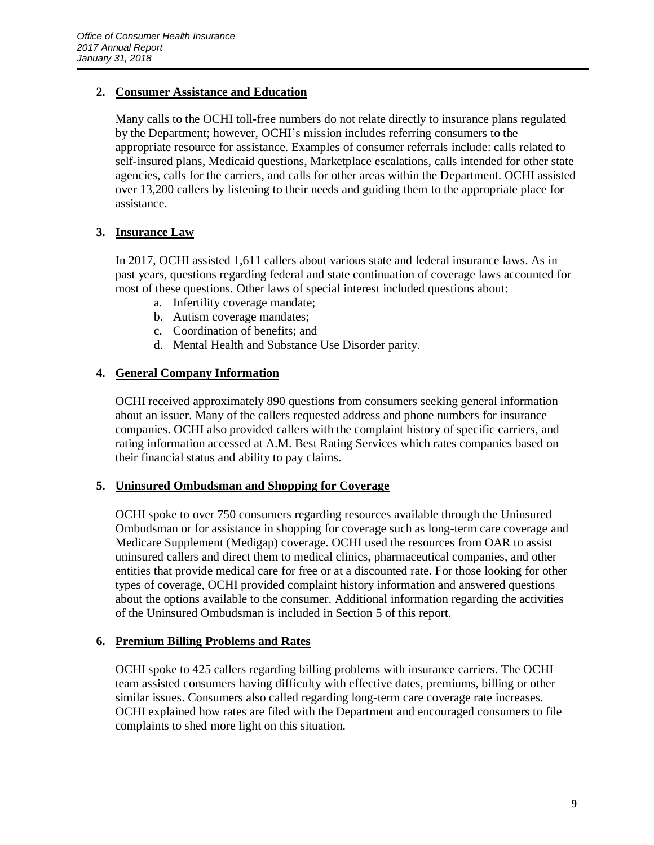#### **2. Consumer Assistance and Education**

Many calls to the OCHI toll-free numbers do not relate directly to insurance plans regulated by the Department; however, OCHI's mission includes referring consumers to the appropriate resource for assistance. Examples of consumer referrals include: calls related to self-insured plans, Medicaid questions, Marketplace escalations, calls intended for other state agencies, calls for the carriers, and calls for other areas within the Department. OCHI assisted over 13,200 callers by listening to their needs and guiding them to the appropriate place for assistance.

#### **3. Insurance Law**

In 2017, OCHI assisted 1,611 callers about various state and federal insurance laws. As in past years, questions regarding federal and state continuation of coverage laws accounted for most of these questions. Other laws of special interest included questions about:

- a. Infertility coverage mandate;
- b. Autism coverage mandates;
- c. Coordination of benefits; and
- d. Mental Health and Substance Use Disorder parity.

#### **4. General Company Information**

OCHI received approximately 890 questions from consumers seeking general information about an issuer. Many of the callers requested address and phone numbers for insurance companies. OCHI also provided callers with the complaint history of specific carriers, and rating information accessed at A.M. Best Rating Services which rates companies based on their financial status and ability to pay claims.

#### **5. Uninsured Ombudsman and Shopping for Coverage**

OCHI spoke to over 750 consumers regarding resources available through the Uninsured Ombudsman or for assistance in shopping for coverage such as long-term care coverage and Medicare Supplement (Medigap) coverage. OCHI used the resources from OAR to assist uninsured callers and direct them to medical clinics, pharmaceutical companies, and other entities that provide medical care for free or at a discounted rate. For those looking for other types of coverage, OCHI provided complaint history information and answered questions about the options available to the consumer. Additional information regarding the activities of the Uninsured Ombudsman is included in Section 5 of this report.

#### **6. Premium Billing Problems and Rates**

OCHI spoke to 425 callers regarding billing problems with insurance carriers. The OCHI team assisted consumers having difficulty with effective dates, premiums, billing or other similar issues. Consumers also called regarding long-term care coverage rate increases. OCHI explained how rates are filed with the Department and encouraged consumers to file complaints to shed more light on this situation.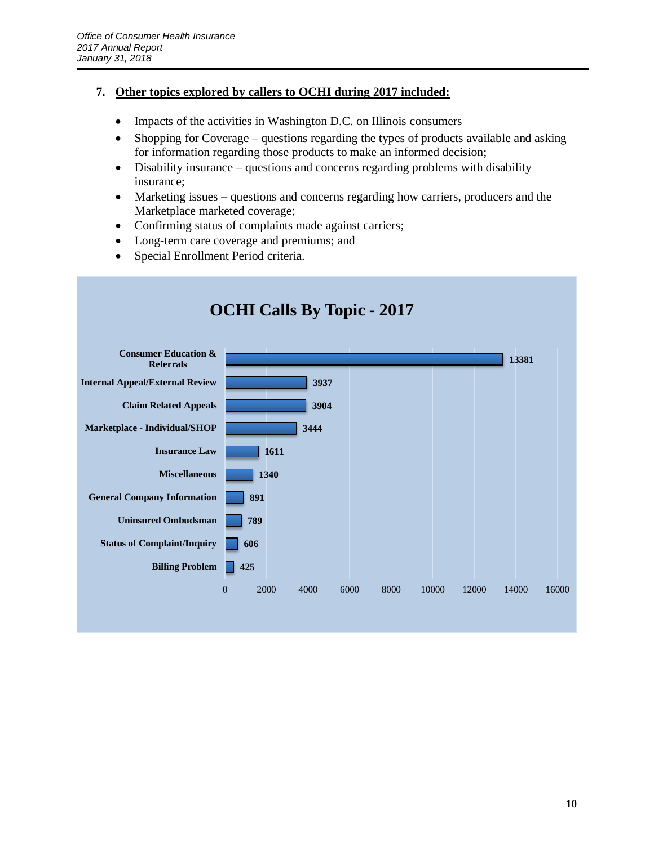#### **7. Other topics explored by callers to OCHI during 2017 included:**

- Impacts of the activities in Washington D.C. on Illinois consumers
- Shopping for Coverage questions regarding the types of products available and asking for information regarding those products to make an informed decision;
- Disability insurance questions and concerns regarding problems with disability insurance;
- Marketing issues questions and concerns regarding how carriers, producers and the Marketplace marketed coverage;
- Confirming status of complaints made against carriers;
- Long-term care coverage and premiums; and
- Special Enrollment Period criteria.

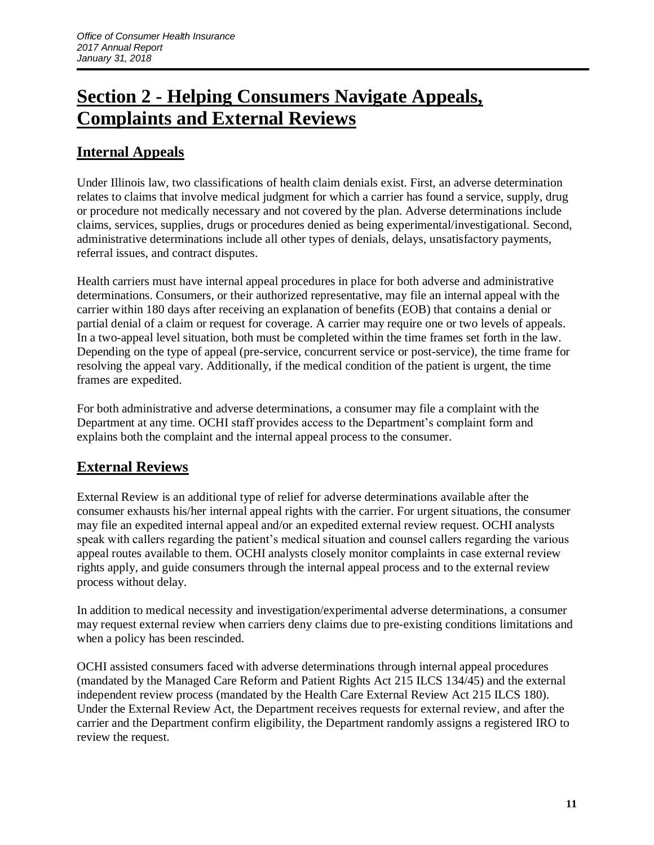## **Section 2 - Helping Consumers Navigate Appeals, Complaints and External Reviews**

### **Internal Appeals**

Under Illinois law, two classifications of health claim denials exist. First, an adverse determination relates to claims that involve medical judgment for which a carrier has found a service, supply, drug or procedure not medically necessary and not covered by the plan. Adverse determinations include claims, services, supplies, drugs or procedures denied as being experimental/investigational. Second, administrative determinations include all other types of denials, delays, unsatisfactory payments, referral issues, and contract disputes.

Health carriers must have internal appeal procedures in place for both adverse and administrative determinations. Consumers, or their authorized representative, may file an internal appeal with the carrier within 180 days after receiving an explanation of benefits (EOB) that contains a denial or partial denial of a claim or request for coverage. A carrier may require one or two levels of appeals. In a two-appeal level situation, both must be completed within the time frames set forth in the law. Depending on the type of appeal (pre-service, concurrent service or post-service), the time frame for resolving the appeal vary. Additionally, if the medical condition of the patient is urgent, the time frames are expedited.

For both administrative and adverse determinations, a consumer may file a complaint with the Department at any time. OCHI staff provides access to the Department's complaint form and explains both the complaint and the internal appeal process to the consumer.

### **External Reviews**

External Review is an additional type of relief for adverse determinations available after the consumer exhausts his/her internal appeal rights with the carrier. For urgent situations, the consumer may file an expedited internal appeal and/or an expedited external review request. OCHI analysts speak with callers regarding the patient's medical situation and counsel callers regarding the various appeal routes available to them. OCHI analysts closely monitor complaints in case external review rights apply, and guide consumers through the internal appeal process and to the external review process without delay.

In addition to medical necessity and investigation/experimental adverse determinations, a consumer may request external review when carriers deny claims due to pre-existing conditions limitations and when a policy has been rescinded.

OCHI assisted consumers faced with adverse determinations through internal appeal procedures (mandated by the Managed Care Reform and Patient Rights Act 215 ILCS 134/45) and the external independent review process (mandated by the Health Care External Review Act 215 ILCS 180). Under the External Review Act, the Department receives requests for external review, and after the carrier and the Department confirm eligibility, the Department randomly assigns a registered IRO to review the request.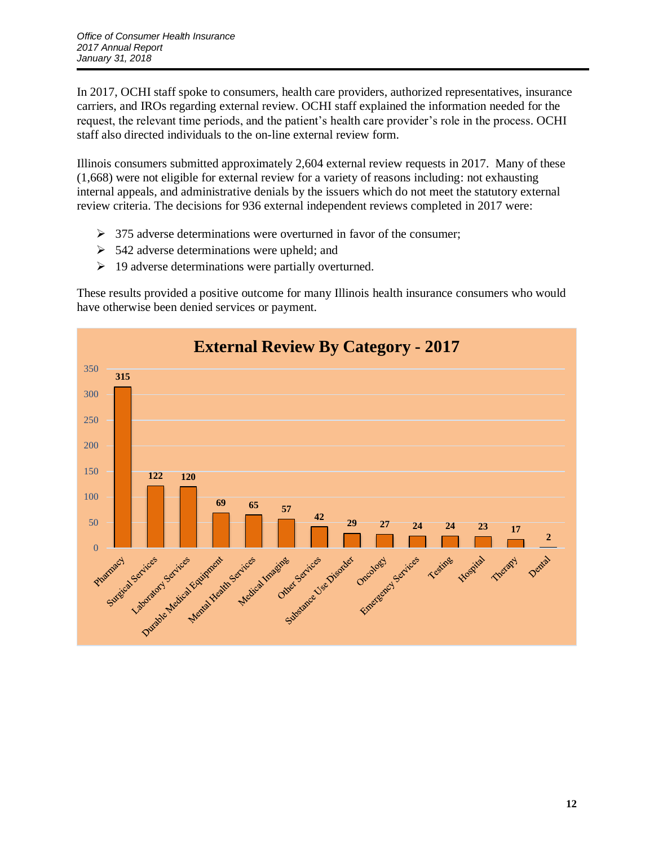In 2017, OCHI staff spoke to consumers, health care providers, authorized representatives, insurance carriers, and IROs regarding external review. OCHI staff explained the information needed for the request, the relevant time periods, and the patient's health care provider's role in the process. OCHI staff also directed individuals to the on-line external review form.

Illinois consumers submitted approximately 2,604 external review requests in 2017. Many of these (1,668) were not eligible for external review for a variety of reasons including: not exhausting internal appeals, and administrative denials by the issuers which do not meet the statutory external review criteria. The decisions for 936 external independent reviews completed in 2017 were:

- $\geq$  375 adverse determinations were overturned in favor of the consumer;
- $\geq$  542 adverse determinations were upheld; and
- $\triangleright$  19 adverse determinations were partially overturned.

These results provided a positive outcome for many Illinois health insurance consumers who would have otherwise been denied services or payment.

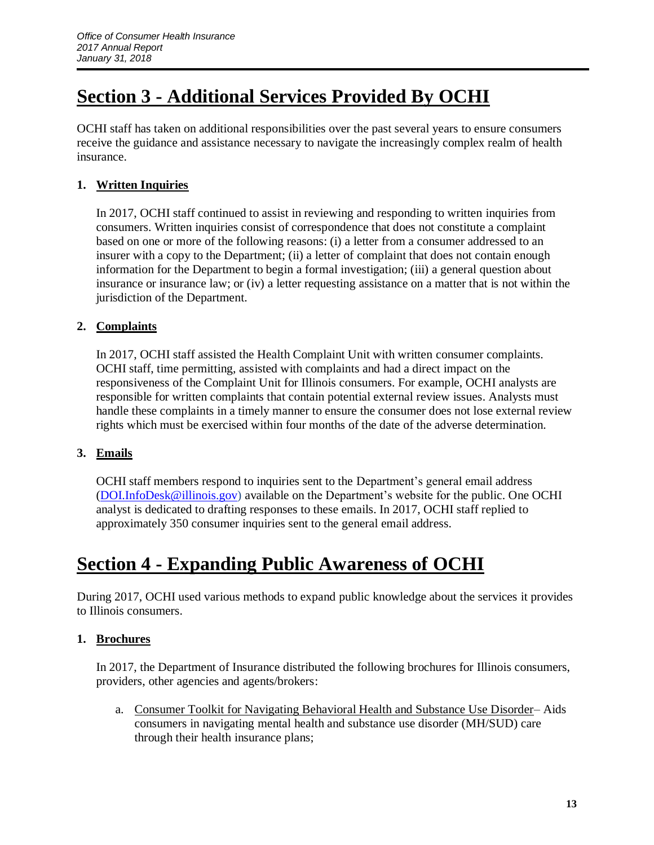## **Section 3 - Additional Services Provided By OCHI**

OCHI staff has taken on additional responsibilities over the past several years to ensure consumers receive the guidance and assistance necessary to navigate the increasingly complex realm of health insurance.

#### **1. Written Inquiries**

In 2017, OCHI staff continued to assist in reviewing and responding to written inquiries from consumers. Written inquiries consist of correspondence that does not constitute a complaint based on one or more of the following reasons: (i) a letter from a consumer addressed to an insurer with a copy to the Department; (ii) a letter of complaint that does not contain enough information for the Department to begin a formal investigation; (iii) a general question about insurance or insurance law; or (iv) a letter requesting assistance on a matter that is not within the jurisdiction of the Department.

#### **2. Complaints**

In 2017, OCHI staff assisted the Health Complaint Unit with written consumer complaints. OCHI staff, time permitting, assisted with complaints and had a direct impact on the responsiveness of the Complaint Unit for Illinois consumers. For example, OCHI analysts are responsible for written complaints that contain potential external review issues. Analysts must handle these complaints in a timely manner to ensure the consumer does not lose external review rights which must be exercised within four months of the date of the adverse determination.

#### **3. Emails**

OCHI staff members respond to inquiries sent to the Department's general email address [\(DOI.InfoDesk@illinois.gov\)](mailto:DOI.InfoDesk@illinois.gov) available on the Department's website for the public. One OCHI analyst is dedicated to drafting responses to these emails. In 2017, OCHI staff replied to approximately 350 consumer inquiries sent to the general email address.

### **Section 4 - Expanding Public Awareness of OCHI**

During 2017, OCHI used various methods to expand public knowledge about the services it provides to Illinois consumers.

#### **1. Brochures**

In 2017, the Department of Insurance distributed the following brochures for Illinois consumers, providers, other agencies and agents/brokers:

a. Consumer Toolkit for Navigating Behavioral Health and Substance Use Disorder– Aids consumers in navigating mental health and substance use disorder (MH/SUD) care through their health insurance plans;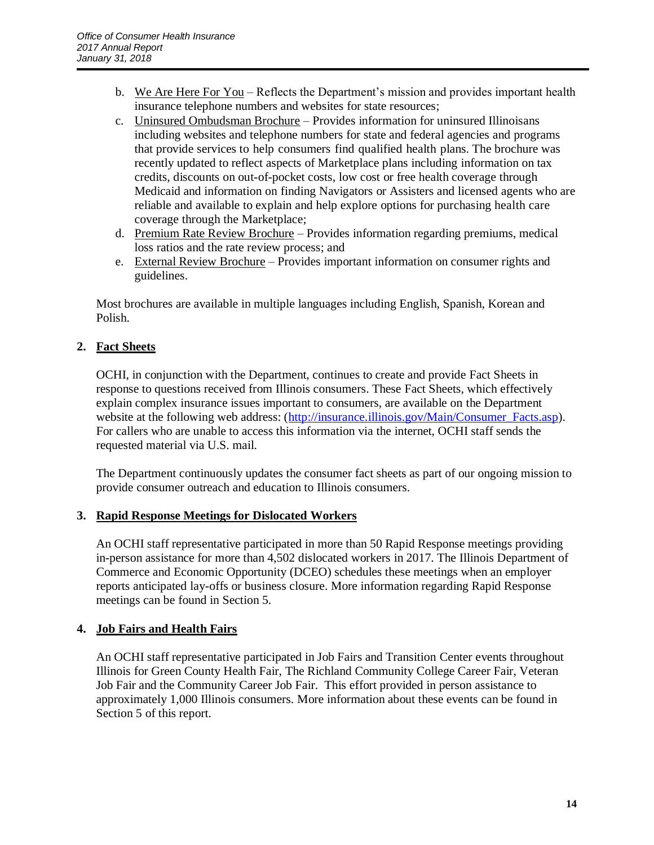- b. We Are Here For You Reflects the Department's mission and provides important health insurance telephone numbers and websites for state resources;
- c. Uninsured Ombudsman Brochure Provides information for uninsured Illinoisans including websites and telephone numbers for state and federal agencies and programs that provide services to help consumers find qualified health plans. The brochure was recently updated to reflect aspects of Marketplace plans including information on tax credits, discounts on out-of-pocket costs, low cost or free health coverage through Medicaid and information on finding Navigators or Assisters and licensed agents who are reliable and available to explain and help explore options for purchasing health care coverage through the Marketplace;
- d. Premium Rate Review Brochure Provides information regarding premiums, medical loss ratios and the rate review process; and
- e. External Review Brochure Provides important information on consumer rights and guidelines.

Most brochures are available in multiple languages including English, Spanish, Korean and Polish.

#### **2. Fact Sheets**

OCHI, in conjunction with the Department, continues to create and provide Fact Sheets in response to questions received from Illinois consumers. These Fact Sheets, which effectively explain complex insurance issues important to consumers, are available on the Department website at the following web address: [\(http://insurance.illinois.gov/Main/Consumer\\_Facts.asp\)](http://insurance.illinois.gov/Main/Consumer_Facts.asp). For callers who are unable to access this information via the internet, OCHI staff sends the requested material via U.S. mail.

The Department continuously updates the consumer fact sheets as part of our ongoing mission to provide consumer outreach and education to Illinois consumers.

#### **3. Rapid Response Meetings for Dislocated Workers**

An OCHI staff representative participated in more than 50 Rapid Response meetings providing in-person assistance for more than 4,502 dislocated workers in 2017. The Illinois Department of Commerce and Economic Opportunity (DCEO) schedules these meetings when an employer reports anticipated lay-offs or business closure. More information regarding Rapid Response meetings can be found in Section 5.

#### **4. Job Fairs and Health Fairs**

An OCHI staff representative participated in Job Fairs and Transition Center events throughout Illinois for Green County Health Fair, The Richland Community College Career Fair, Veteran Job Fair and the Community Career Job Fair. This effort provided in person assistance to approximately 1,000 Illinois consumers. More information about these events can be found in Section 5 of this report.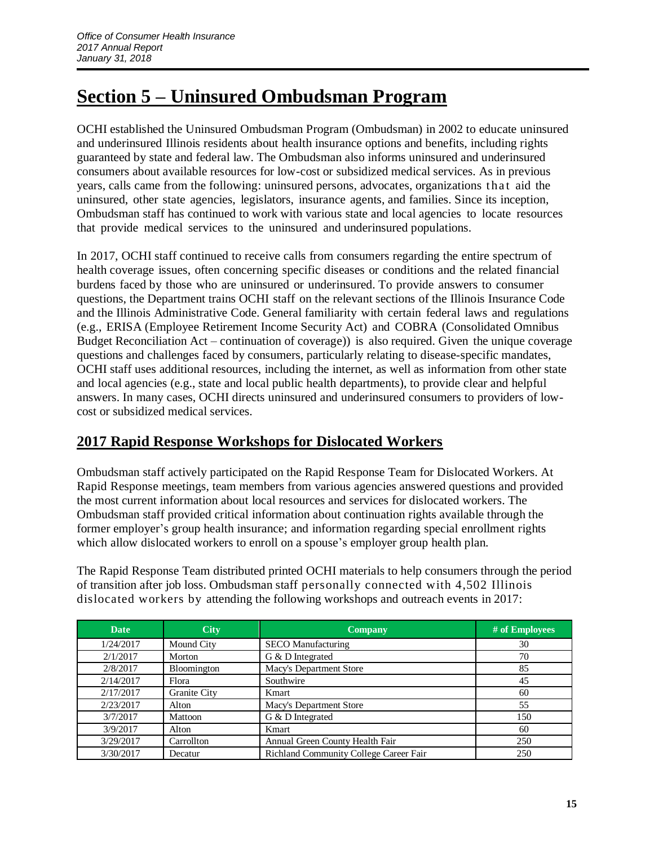## **Section 5 – Uninsured Ombudsman Program**

OCHI established the Uninsured Ombudsman Program (Ombudsman) in 2002 to educate uninsured and underinsured Illinois residents about health insurance options and benefits, including rights guaranteed by state and federal law. The Ombudsman also informs uninsured and underinsured consumers about available resources for low-cost or subsidized medical services. As in previous years, calls came from the following: uninsured persons, advocates, organizations that aid the uninsured, other state agencies, legislators, insurance agents, and families. Since its inception, Ombudsman staff has continued to work with various state and local agencies to locate resources that provide medical services to the uninsured and underinsured populations.

In 2017, OCHI staff continued to receive calls from consumers regarding the entire spectrum of health coverage issues, often concerning specific diseases or conditions and the related financial burdens faced by those who are uninsured or underinsured. To provide answers to consumer questions, the Department trains OCHI staff on the relevant sections of the Illinois Insurance Code and the Illinois Administrative Code. General familiarity with certain federal laws and regulations (e.g., ERISA (Employee Retirement Income Security Act) and COBRA (Consolidated Omnibus Budget Reconciliation Act – continuation of coverage)) is also required. Given the unique coverage questions and challenges faced by consumers, particularly relating to disease-specific mandates, OCHI staff uses additional resources, including the internet, as well as information from other state and local agencies (e.g., state and local public health departments), to provide clear and helpful answers. In many cases, OCHI directs uninsured and underinsured consumers to providers of lowcost or subsidized medical services.

### **2017 Rapid Response Workshops for Dislocated Workers**

Ombudsman staff actively participated on the Rapid Response Team for Dislocated Workers. At Rapid Response meetings, team members from various agencies answered questions and provided the most current information about local resources and services for dislocated workers. The Ombudsman staff provided critical information about continuation rights available through the former employer's group health insurance; and information regarding special enrollment rights which allow dislocated workers to enroll on a spouse's employer group health plan.

The Rapid Response Team distributed printed OCHI materials to help consumers through the period of transition after job loss. Ombudsman staff personally connected with 4,502 Illinois dislocated workers by attending the following workshops and outreach events in 2017:

| <b>Date</b> | <b>City</b>  | <b>Company</b>                         | # of Employees |
|-------------|--------------|----------------------------------------|----------------|
| 1/24/2017   | Mound City   | <b>SECO</b> Manufacturing              | 30             |
| 2/1/2017    | Morton       | G & D Integrated                       | 70             |
| 2/8/2017    | Bloomington  | Macy's Department Store                | 85             |
| 2/14/2017   | Flora        | Southwire                              | 45             |
| 2/17/2017   | Granite City | Kmart                                  | 60             |
| 2/23/2017   | Alton        | Macy's Department Store                | 55             |
| 3/7/2017    | Mattoon      | G & D Integrated                       | 150            |
| 3/9/2017    | Alton        | Kmart                                  | 60             |
| 3/29/2017   | Carrollton   | Annual Green County Health Fair        | 250            |
| 3/30/2017   | Decatur      | Richland Community College Career Fair | 250            |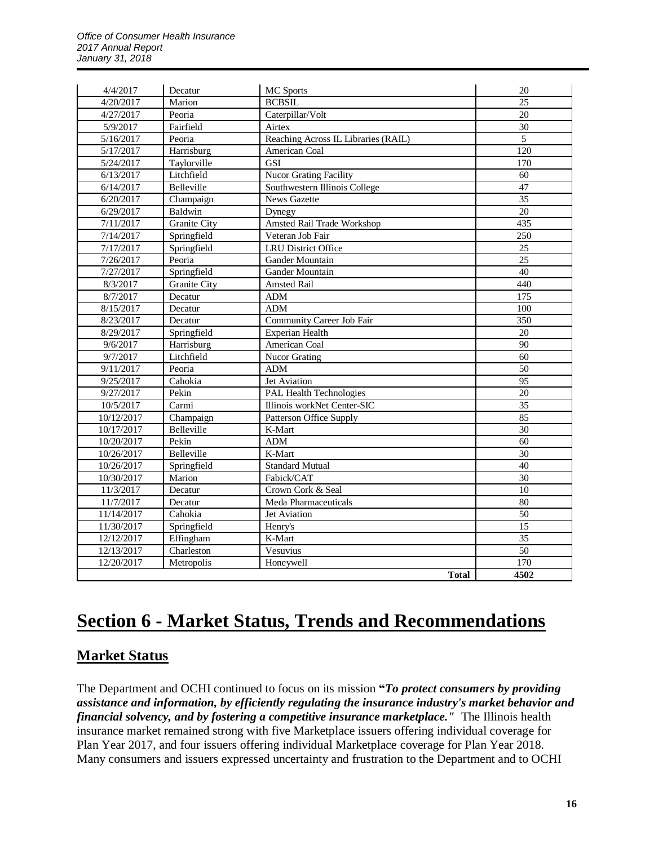| 4/4/2017   | Decatur             | MC Sports                           | 20               |
|------------|---------------------|-------------------------------------|------------------|
| 4/20/2017  | Marion              | <b>BCBSIL</b>                       | 25               |
| 4/27/2017  | Peoria              | Caterpillar/Volt                    | 20               |
| 5/9/2017   | Fairfield           | Airtex                              | 30               |
| 5/16/2017  | Peoria              | Reaching Across IL Libraries (RAIL) | $\overline{5}$   |
| 5/17/2017  | Harrisburg          | American Coal                       | 120              |
| 5/24/2017  | Taylorville         | <b>GSI</b>                          | 170              |
| 6/13/2017  | Litchfield          | <b>Nucor Grating Facility</b>       | 60               |
| 6/14/2017  | Belleville          | Southwestern Illinois College       | 47               |
| 6/20/2017  | Champaign           | <b>News Gazette</b>                 | $\overline{35}$  |
| 6/29/2017  | Baldwin             | Dynegy                              | 20               |
| 7/11/2017  | Granite City        | Amsted Rail Trade Workshop          | 435              |
| 7/14/2017  | Springfield         | Veteran Job Fair                    | 250              |
| 7/17/2017  | Springfield         | <b>LRU District Office</b>          | 25               |
| 7/26/2017  | Peoria              | <b>Gander Mountain</b>              | $\overline{25}$  |
| 7/27/2017  | Springfield         | Gander Mountain                     | 40               |
| 8/3/2017   | <b>Granite City</b> | <b>Amsted Rail</b>                  | 440              |
| 8/7/2017   | Decatur             | <b>ADM</b>                          | $\overline{175}$ |
| 8/15/2017  | Decatur             | <b>ADM</b>                          | 100              |
| 8/23/2017  | Decatur             | Community Career Job Fair           | 350              |
| 8/29/2017  | Springfield         | Experian Health                     | 20               |
| 9/6/2017   | Harrisburg          | American Coal                       | $\overline{90}$  |
| 9/7/2017   | Litchfield          | <b>Nucor Grating</b>                | 60               |
| 9/11/2017  | Peoria              | <b>ADM</b>                          | 50               |
| 9/25/2017  | Cahokia             | Jet Aviation                        | 95               |
| 9/27/2017  | Pekin               | <b>PAL Health Technologies</b>      | $\overline{20}$  |
| 10/5/2017  | Carmi               | Illinois workNet Center-SIC         | $\overline{35}$  |
| 10/12/2017 | Champaign           | Patterson Office Supply             | 85               |
| 10/17/2017 | Belleville          | K-Mart                              | 30               |
| 10/20/2017 | Pekin               | <b>ADM</b>                          | 60               |
| 10/26/2017 | Belleville          | K-Mart                              | $\overline{30}$  |
| 10/26/2017 | Springfield         | <b>Standard Mutual</b>              | 40               |
| 10/30/2017 | Marion              | Fabick/CAT                          | 30               |
| 11/3/2017  | Decatur             | Crown Cork & Seal                   | 10               |
| 11/7/2017  | Decatur             | Meda Pharmaceuticals                | 80               |
| 11/14/2017 | Cahokia             | Jet Aviation                        | 50               |
| 11/30/2017 | Springfield         | Henry's                             | 15               |
| 12/12/2017 | Effingham           | K-Mart                              | $\overline{35}$  |
| 12/13/2017 | Charleston          | Vesuvius                            | $\overline{50}$  |
| 12/20/2017 | Metropolis          | Honeywell                           | 170              |
|            |                     | <b>Total</b>                        | 4502             |

## **Section 6 - Market Status, Trends and Recommendations**

### **Market Status**

The Department and OCHI continued to focus on its mission **"***To protect consumers by providing assistance and information, by efficiently regulating the insurance industry's market behavior and financial solvency, and by fostering a competitive insurance marketplace."* The Illinois health insurance market remained strong with five Marketplace issuers offering individual coverage for Plan Year 2017, and four issuers offering individual Marketplace coverage for Plan Year 2018. Many consumers and issuers expressed uncertainty and frustration to the Department and to OCHI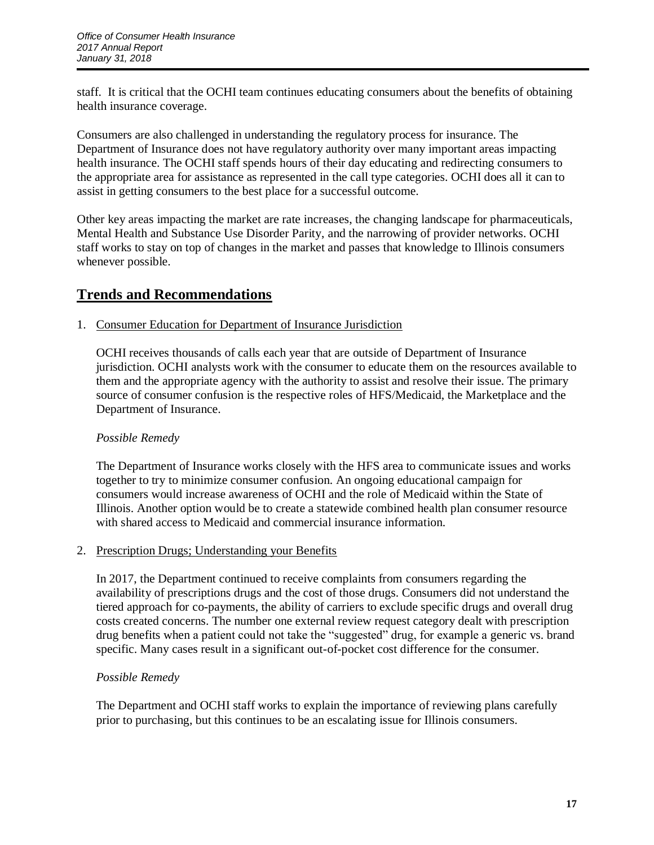staff. It is critical that the OCHI team continues educating consumers about the benefits of obtaining health insurance coverage.

Consumers are also challenged in understanding the regulatory process for insurance. The Department of Insurance does not have regulatory authority over many important areas impacting health insurance. The OCHI staff spends hours of their day educating and redirecting consumers to the appropriate area for assistance as represented in the call type categories. OCHI does all it can to assist in getting consumers to the best place for a successful outcome.

Other key areas impacting the market are rate increases, the changing landscape for pharmaceuticals, Mental Health and Substance Use Disorder Parity, and the narrowing of provider networks. OCHI staff works to stay on top of changes in the market and passes that knowledge to Illinois consumers whenever possible.

### **Trends and Recommendations**

#### 1. Consumer Education for Department of Insurance Jurisdiction

OCHI receives thousands of calls each year that are outside of Department of Insurance jurisdiction. OCHI analysts work with the consumer to educate them on the resources available to them and the appropriate agency with the authority to assist and resolve their issue. The primary source of consumer confusion is the respective roles of HFS/Medicaid, the Marketplace and the Department of Insurance.

#### *Possible Remedy*

The Department of Insurance works closely with the HFS area to communicate issues and works together to try to minimize consumer confusion. An ongoing educational campaign for consumers would increase awareness of OCHI and the role of Medicaid within the State of Illinois. Another option would be to create a statewide combined health plan consumer resource with shared access to Medicaid and commercial insurance information.

#### 2. Prescription Drugs; Understanding your Benefits

In 2017, the Department continued to receive complaints from consumers regarding the availability of prescriptions drugs and the cost of those drugs. Consumers did not understand the tiered approach for co-payments, the ability of carriers to exclude specific drugs and overall drug costs created concerns. The number one external review request category dealt with prescription drug benefits when a patient could not take the "suggested" drug, for example a generic vs. brand specific. Many cases result in a significant out-of-pocket cost difference for the consumer.

#### *Possible Remedy*

The Department and OCHI staff works to explain the importance of reviewing plans carefully prior to purchasing, but this continues to be an escalating issue for Illinois consumers.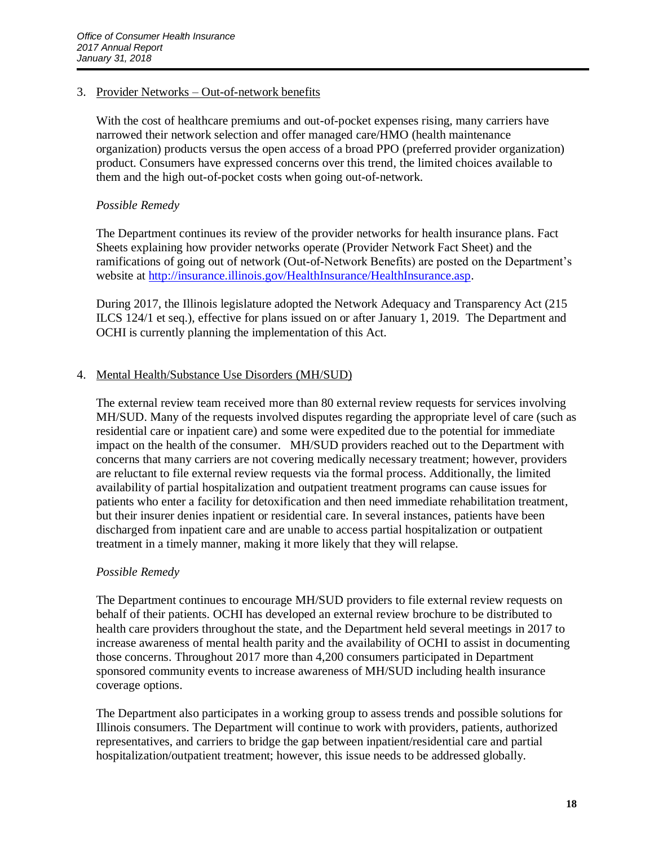#### 3. Provider Networks – Out-of-network benefits

With the cost of healthcare premiums and out-of-pocket expenses rising, many carriers have narrowed their network selection and offer managed care/HMO (health maintenance organization) products versus the open access of a broad PPO (preferred provider organization) product. Consumers have expressed concerns over this trend, the limited choices available to them and the high out-of-pocket costs when going out-of-network.

#### *Possible Remedy*

The Department continues its review of the provider networks for health insurance plans. Fact Sheets explaining how provider networks operate (Provider Network Fact Sheet) and the ramifications of going out of network (Out-of-Network Benefits) are posted on the Department's website at [http://insurance.illinois.gov/HealthInsurance/HealthInsurance.asp.](http://insurance.illinois.gov/HealthInsurance/HealthInsurance.asp)

During 2017, the Illinois legislature adopted the Network Adequacy and Transparency Act (215 ILCS 124/1 et seq.), effective for plans issued on or after January 1, 2019. The Department and OCHI is currently planning the implementation of this Act.

#### 4. Mental Health/Substance Use Disorders (MH/SUD)

The external review team received more than 80 external review requests for services involving MH/SUD. Many of the requests involved disputes regarding the appropriate level of care (such as residential care or inpatient care) and some were expedited due to the potential for immediate impact on the health of the consumer. MH/SUD providers reached out to the Department with concerns that many carriers are not covering medically necessary treatment; however, providers are reluctant to file external review requests via the formal process. Additionally, the limited availability of partial hospitalization and outpatient treatment programs can cause issues for patients who enter a facility for detoxification and then need immediate rehabilitation treatment, but their insurer denies inpatient or residential care. In several instances, patients have been discharged from inpatient care and are unable to access partial hospitalization or outpatient treatment in a timely manner, making it more likely that they will relapse.

#### *Possible Remedy*

The Department continues to encourage MH/SUD providers to file external review requests on behalf of their patients. OCHI has developed an external review brochure to be distributed to health care providers throughout the state, and the Department held several meetings in 2017 to increase awareness of mental health parity and the availability of OCHI to assist in documenting those concerns. Throughout 2017 more than 4,200 consumers participated in Department sponsored community events to increase awareness of MH/SUD including health insurance coverage options.

The Department also participates in a working group to assess trends and possible solutions for Illinois consumers. The Department will continue to work with providers, patients, authorized representatives, and carriers to bridge the gap between inpatient/residential care and partial hospitalization/outpatient treatment; however, this issue needs to be addressed globally.